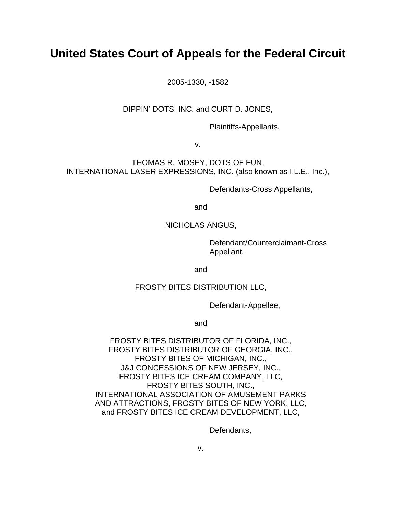# **United States Court of Appeals for the Federal Circuit**

2005-1330, -1582

DIPPIN' DOTS, INC. and CURT D. JONES,

Plaintiffs-Appellants,

v.

THOMAS R. MOSEY, DOTS OF FUN, INTERNATIONAL LASER EXPRESSIONS, INC. (also known as I.L.E., Inc.),

Defendants-Cross Appellants,

and

### NICHOLAS ANGUS,

 Defendant/Counterclaimant-Cross Appellant,

and

#### FROSTY BITES DISTRIBUTION LLC,

Defendant-Appellee,

and

FROSTY BITES DISTRIBUTOR OF FLORIDA, INC., FROSTY BITES DISTRIBUTOR OF GEORGIA, INC., FROSTY BITES OF MICHIGAN, INC., J&J CONCESSIONS OF NEW JERSEY, INC., FROSTY BITES ICE CREAM COMPANY, LLC, FROSTY BITES SOUTH, INC., INTERNATIONAL ASSOCIATION OF AMUSEMENT PARKS AND ATTRACTIONS, FROSTY BITES OF NEW YORK, LLC, and FROSTY BITES ICE CREAM DEVELOPMENT, LLC,

Defendants,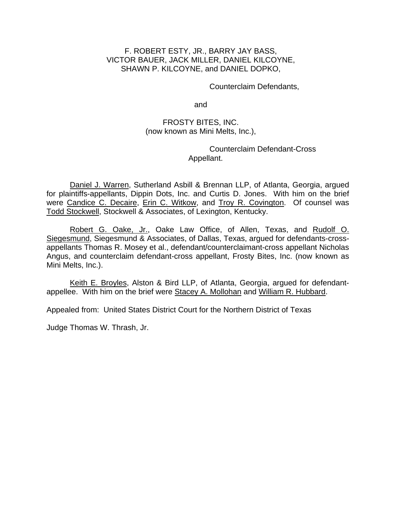## F. ROBERT ESTY, JR., BARRY JAY BASS, VICTOR BAUER, JACK MILLER, DANIEL KILCOYNE, SHAWN P. KILCOYNE, and DANIEL DOPKO,

Counterclaim Defendants,

and

## FROSTY BITES, INC. (now known as Mini Melts, Inc.),

 Counterclaim Defendant-Cross Appellant.

Daniel J. Warren, Sutherland Asbill & Brennan LLP, of Atlanta, Georgia, argued for plaintiffs-appellants, Dippin Dots, Inc. and Curtis D. Jones. With him on the brief were Candice C. Decaire, Erin C. Witkow, and Troy R. Covington. Of counsel was Todd Stockwell, Stockwell & Associates, of Lexington, Kentucky.

Robert G. Oake, Jr., Oake Law Office, of Allen, Texas, and Rudolf O. Siegesmund, Siegesmund & Associates, of Dallas, Texas, argued for defendants-crossappellants Thomas R. Mosey et al., defendant/counterclaimant-cross appellant Nicholas Angus, and counterclaim defendant-cross appellant, Frosty Bites, Inc. (now known as Mini Melts, Inc.).

Keith E. Broyles, Alston & Bird LLP, of Atlanta, Georgia, argued for defendantappellee. With him on the brief were Stacey A. Mollohan and William R. Hubbard.

Appealed from: United States District Court for the Northern District of Texas

Judge Thomas W. Thrash, Jr.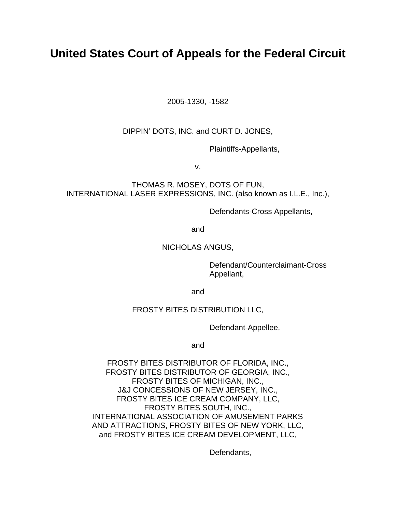# **United States Court of Appeals for the Federal Circuit**

2005-1330, -1582

DIPPIN' DOTS, INC. and CURT D. JONES,

Plaintiffs-Appellants,

v.

THOMAS R. MOSEY, DOTS OF FUN, INTERNATIONAL LASER EXPRESSIONS, INC. (also known as I.L.E., Inc.),

Defendants-Cross Appellants,

and

# NICHOLAS ANGUS,

 Defendant/Counterclaimant-Cross Appellant,

and

# FROSTY BITES DISTRIBUTION LLC,

Defendant-Appellee,

and

FROSTY BITES DISTRIBUTOR OF FLORIDA, INC., FROSTY BITES DISTRIBUTOR OF GEORGIA, INC., FROSTY BITES OF MICHIGAN, INC., J&J CONCESSIONS OF NEW JERSEY, INC., FROSTY BITES ICE CREAM COMPANY, LLC, FROSTY BITES SOUTH, INC., INTERNATIONAL ASSOCIATION OF AMUSEMENT PARKS AND ATTRACTIONS, FROSTY BITES OF NEW YORK, LLC, and FROSTY BITES ICE CREAM DEVELOPMENT, LLC,

Defendants,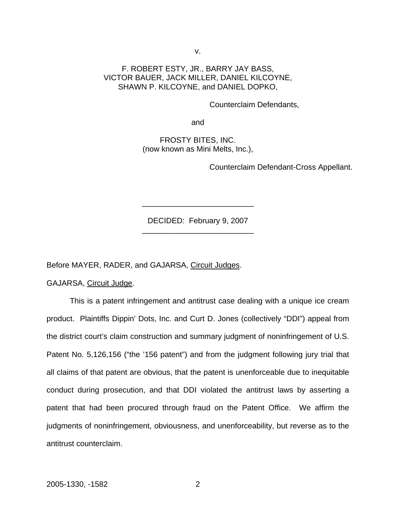v.

## F. ROBERT ESTY, JR., BARRY JAY BASS, VICTOR BAUER, JACK MILLER, DANIEL KILCOYNE, SHAWN P. KILCOYNE, and DANIEL DOPKO,

Counterclaim Defendants,

and

FROSTY BITES, INC. (now known as Mini Melts, Inc.),

Counterclaim Defendant-Cross Appellant.

DECIDED: February 9, 2007 \_\_\_\_\_\_\_\_\_\_\_\_\_\_\_\_\_\_\_\_\_\_\_\_\_\_

\_\_\_\_\_\_\_\_\_\_\_\_\_\_\_\_\_\_\_\_\_\_\_\_\_\_

Before MAYER, RADER, and GAJARSA, Circuit Judges.

GAJARSA, Circuit Judge.

This is a patent infringement and antitrust case dealing with a unique ice cream product. Plaintiffs Dippin' Dots, Inc. and Curt D. Jones (collectively "DDI") appeal from the district court's claim construction and summary judgment of noninfringement of U.S. Patent No. 5,126,156 ("the '156 patent") and from the judgment following jury trial that all claims of that patent are obvious, that the patent is unenforceable due to inequitable conduct during prosecution, and that DDI violated the antitrust laws by asserting a patent that had been procured through fraud on the Patent Office. We affirm the judgments of noninfringement, obviousness, and unenforceability, but reverse as to the antitrust counterclaim.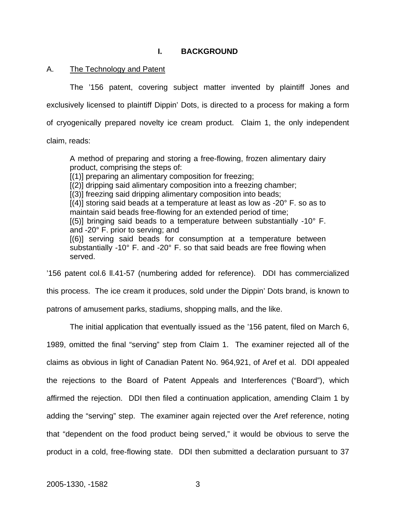## **I. BACKGROUND**

## A. The Technology and Patent

The '156 patent, covering subject matter invented by plaintiff Jones and exclusively licensed to plaintiff Dippin' Dots, is directed to a process for making a form of cryogenically prepared novelty ice cream product. Claim 1, the only independent

claim, reads:

A method of preparing and storing a free-flowing, frozen alimentary dairy product, comprising the steps of:

[(1)] preparing an alimentary composition for freezing;

[(2)] dripping said alimentary composition into a freezing chamber;

[(3)] freezing said dripping alimentary composition into beads;

 $[(4)]$  storing said beads at a temperature at least as low as -20 $^{\circ}$  F. so as to maintain said beads free-flowing for an extended period of time;

 $[(5)]$  bringing said beads to a temperature between substantially -10 $^{\circ}$  F. and -20° F. prior to serving; and

[(6)] serving said beads for consumption at a temperature between substantially -10° F. and -20° F. so that said beads are free flowing when served.

'156 patent col.6 ll.41-57 (numbering added for reference). DDI has commercialized this process. The ice cream it produces, sold under the Dippin' Dots brand, is known to patrons of amusement parks, stadiums, shopping malls, and the like.

The initial application that eventually issued as the '156 patent, filed on March 6, 1989, omitted the final "serving" step from Claim 1. The examiner rejected all of the claims as obvious in light of Canadian Patent No. 964,921, of Aref et al. DDI appealed the rejections to the Board of Patent Appeals and Interferences ("Board"), which affirmed the rejection. DDI then filed a continuation application, amending Claim 1 by adding the "serving" step. The examiner again rejected over the Aref reference, noting that "dependent on the food product being served," it would be obvious to serve the product in a cold, free-flowing state. DDI then submitted a declaration pursuant to 37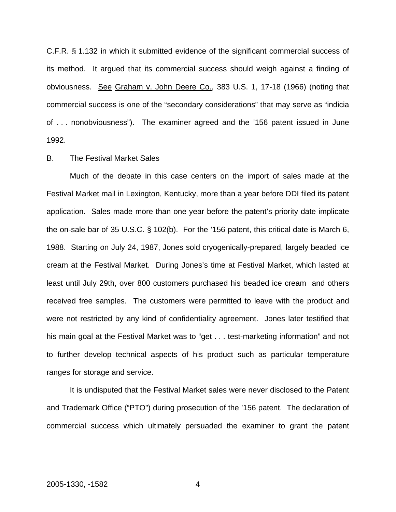C.F.R. § 1.132 in which it submitted evidence of the significant commercial success of its method. It argued that its commercial success should weigh against a finding of obviousness.See Graham v. John Deere Co., 383 U.S. 1, 17-18 (1966) (noting that commercial success is one of the "secondary considerations" that may serve as "indicia of . . . nonobviousness"). The examiner agreed and the '156 patent issued in June 1992.

#### B. The Festival Market Sales

Much of the debate in this case centers on the import of sales made at the Festival Market mall in Lexington, Kentucky, more than a year before DDI filed its patent application. Sales made more than one year before the patent's priority date implicate the on-sale bar of 35 U.S.C. § 102(b). For the '156 patent, this critical date is March 6, 1988. Starting on July 24, 1987, Jones sold cryogenically-prepared, largely beaded ice cream at the Festival Market. During Jones's time at Festival Market, which lasted at least until July 29th, over 800 customers purchased his beaded ice cream and others received free samples. The customers were permitted to leave with the product and were not restricted by any kind of confidentiality agreement. Jones later testified that his main goal at the Festival Market was to "get . . . test-marketing information" and not to further develop technical aspects of his product such as particular temperature ranges for storage and service.

It is undisputed that the Festival Market sales were never disclosed to the Patent and Trademark Office ("PTO") during prosecution of the '156 patent. The declaration of commercial success which ultimately persuaded the examiner to grant the patent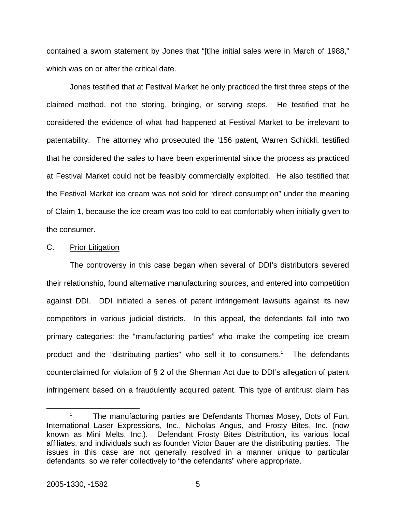contained a sworn statement by Jones that "[t]he initial sales were in March of 1988," which was on or after the critical date.

Jones testified that at Festival Market he only practiced the first three steps of the claimed method, not the storing, bringing, or serving steps. He testified that he considered the evidence of what had happened at Festival Market to be irrelevant to patentability. The attorney who prosecuted the '156 patent, Warren Schickli, testified that he considered the sales to have been experimental since the process as practiced at Festival Market could not be feasibly commercially exploited. He also testified that the Festival Market ice cream was not sold for "direct consumption" under the meaning of Claim 1, because the ice cream was too cold to eat comfortably when initially given to the consumer.

#### C. Prior Litigation

The controversy in this case began when several of DDI's distributors severed their relationship, found alternative manufacturing sources, and entered into competition against DDI. DDI initiated a series of patent infringement lawsuits against its new competitors in various judicial districts. In this appeal, the defendants fall into two primary categories: the "manufacturing parties" who make the competing ice cream product and the "distributing parties" who sell it to consumers.<sup>1</sup> The defendants counterclaimed for violation of § 2 of the Sherman Act due to DDI's allegation of patent infringement based on a fraudulently acquired patent. This type of antitrust claim has

<span id="page-6-0"></span><sup>&</sup>lt;sup>1</sup> The manufacturing parties are Defendants Thomas Mosey, Dots of Fun, International Laser Expressions, Inc., Nicholas Angus, and Frosty Bites, Inc. (now known as Mini Melts, Inc.). Defendant Frosty Bites Distribution, its various local affiliates, and individuals such as founder Victor Bauer are the distributing parties. The issues in this case are not generally resolved in a manner unique to particular defendants, so we refer collectively to "the defendants" where appropriate.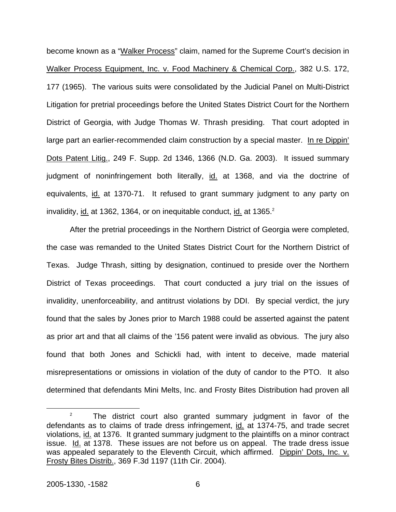become known as a "Walker Process" claim, named for the Supreme Court's decision in Walker Process Equipment, Inc. v. Food Machinery & Chemical Corp., 382 U.S. 172, 177 (1965). The various suits were consolidated by the Judicial Panel on Multi-District Litigation for pretrial proceedings before the United States District Court for the Northern District of Georgia, with Judge Thomas W. Thrash presiding. That court adopted in large part an earlier-recommended claim construction by a special master. In re Dippin' Dots Patent Litig., 249 F. Supp. 2d 1346, 1366 (N.D. Ga. 2003). It issued summary judgment of noninfringement both literally, id. at 1368, and via the doctrine of equivalents, id. at 1370-71. It refused to grant summary judgment to any party on invalidity, id. at 136[2](#page-7-0), 1364, or on inequitable conduct, id. at  $1365.<sup>2</sup>$ 

After the pretrial proceedings in the Northern District of Georgia were completed, the case was remanded to the United States District Court for the Northern District of Texas.Judge Thrash, sitting by designation, continued to preside over the Northern District of Texas proceedings. That court conducted a jury trial on the issues of invalidity, unenforceability, and antitrust violations by DDI. By special verdict, the jury found that the sales by Jones prior to March 1988 could be asserted against the patent as prior art and that all claims of the '156 patent were invalid as obvious. The jury also found that both Jones and Schickli had, with intent to deceive, made material misrepresentations or omissions in violation of the duty of candor to the PTO. It also determined that defendants Mini Melts, Inc. and Frosty Bites Distribution had proven all

<span id="page-7-0"></span> $2^2$  The district court also granted summary judgment in favor of the defendants as to claims of trade dress infringement, id. at 1374-75, and trade secret violations, id. at 1376. It granted summary judgment to the plaintiffs on a minor contract issue. Id. at 1378. These issues are not before us on appeal. The trade dress issue was appealed separately to the Eleventh Circuit, which affirmed. Dippin' Dots, Inc. v. Frosty Bites Distrib., 369 F.3d 1197 (11th Cir. 2004).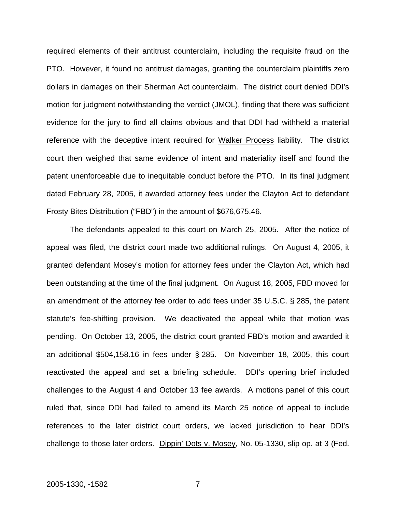required elements of their antitrust counterclaim, including the requisite fraud on the PTO. However, it found no antitrust damages, granting the counterclaim plaintiffs zero dollars in damages on their Sherman Act counterclaim. The district court denied DDI's motion for judgment notwithstanding the verdict (JMOL), finding that there was sufficient evidence for the jury to find all claims obvious and that DDI had withheld a material reference with the deceptive intent required for Walker Process liability. The district court then weighed that same evidence of intent and materiality itself and found the patent unenforceable due to inequitable conduct before the PTO. In its final judgment dated February 28, 2005, it awarded attorney fees under the Clayton Act to defendant Frosty Bites Distribution ("FBD") in the amount of \$676,675.46.

The defendants appealed to this court on March 25, 2005. After the notice of appeal was filed, the district court made two additional rulings. On August 4, 2005, it granted defendant Mosey's motion for attorney fees under the Clayton Act, which had been outstanding at the time of the final judgment. On August 18, 2005, FBD moved for an amendment of the attorney fee order to add fees under 35 U.S.C. § 285, the patent statute's fee-shifting provision. We deactivated the appeal while that motion was pending.On October 13, 2005, the district court granted FBD's motion and awarded it an additional \$504,158.16 in fees under § 285. On November 18, 2005, this court reactivated the appeal and set a briefing schedule. DDI's opening brief included challenges to the August 4 and October 13 fee awards. A motions panel of this court ruled that, since DDI had failed to amend its March 25 notice of appeal to include references to the later district court orders, we lacked jurisdiction to hear DDI's challenge to those later orders. Dippin' Dots v. Mosey, No. 05-1330, slip op. at 3 (Fed.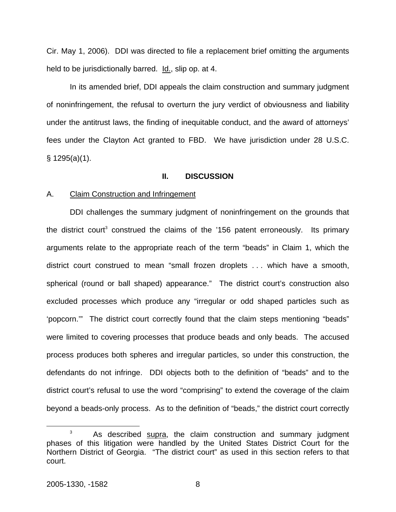Cir. May 1, 2006). DDI was directed to file a replacement brief omitting the arguments held to be jurisdictionally barred. Id., slip op. at 4.

In its amended brief, DDI appeals the claim construction and summary judgment of noninfringement, the refusal to overturn the jury verdict of obviousness and liability under the antitrust laws, the finding of inequitable conduct, and the award of attorneys' fees under the Clayton Act granted to FBD. We have jurisdiction under 28 U.S.C. § 1295(a)(1).

#### **II. DISCUSSION**

#### A. Claim Construction and Infringement

DDI challenges the summary judgment of noninfringement on the grounds that the district court<sup>[3](#page-9-0)</sup> construed the claims of the  $156$  patent erroneously. Its primary arguments relate to the appropriate reach of the term "beads" in Claim 1, which the district court construed to mean "small frozen droplets . . . which have a smooth, spherical (round or ball shaped) appearance." The district court's construction also excluded processes which produce any "irregular or odd shaped particles such as 'popcorn.'" The district court correctly found that the claim steps mentioning "beads" were limited to covering processes that produce beads and only beads. The accused process produces both spheres and irregular particles, so under this construction, the defendants do not infringe. DDI objects both to the definition of "beads" and to the district court's refusal to use the word "comprising" to extend the coverage of the claim beyond a beads-only process. As to the definition of "beads," the district court correctly

<span id="page-9-0"></span> $3$  As described supra, the claim construction and summary judgment phases of this litigation were handled by the United States District Court for the Northern District of Georgia. "The district court" as used in this section refers to that court.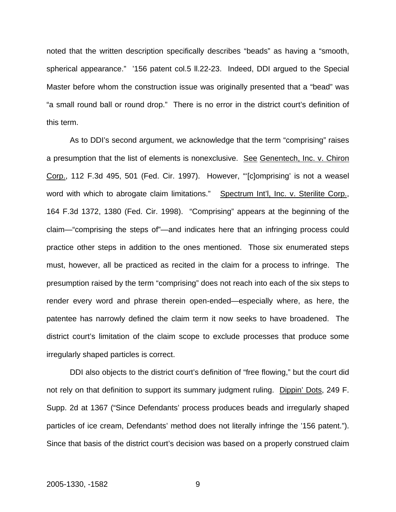noted that the written description specifically describes "beads" as having a "smooth, spherical appearance." '156 patent col.5 ll.22-23. Indeed, DDI argued to the Special Master before whom the construction issue was originally presented that a "bead" was "a small round ball or round drop." There is no error in the district court's definition of this term.

As to DDI's second argument, we acknowledge that the term "comprising" raises a presumption that the list of elements is nonexclusive. See Genentech, Inc. v. Chiron Corp., 112 F.3d 495, 501 (Fed. Cir. 1997). However, "'[c]omprising' is not a weasel word with which to abrogate claim limitations." Spectrum Int'l, Inc. v. Sterilite Corp., 164 F.3d 1372, 1380 (Fed. Cir. 1998). "Comprising" appears at the beginning of the claim—"comprising the steps of"—and indicates here that an infringing process could practice other steps in addition to the ones mentioned. Those six enumerated steps must, however, all be practiced as recited in the claim for a process to infringe. The presumption raised by the term "comprising" does not reach into each of the six steps to render every word and phrase therein open-ended—especially where, as here, the patentee has narrowly defined the claim term it now seeks to have broadened. The district court's limitation of the claim scope to exclude processes that produce some irregularly shaped particles is correct.

DDI also objects to the district court's definition of "free flowing," but the court did not rely on that definition to support its summary judgment ruling. Dippin' Dots, 249 F. Supp. 2d at 1367 ("Since Defendants' process produces beads and irregularly shaped particles of ice cream, Defendants' method does not literally infringe the '156 patent."). Since that basis of the district court's decision was based on a properly construed claim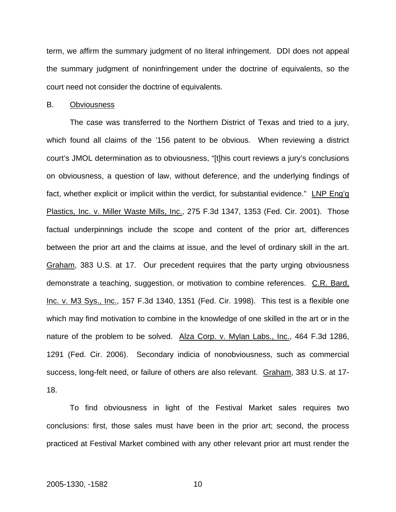term, we affirm the summary judgment of no literal infringement. DDI does not appeal the summary judgment of noninfringement under the doctrine of equivalents, so the court need not consider the doctrine of equivalents.

#### B. Obviousness

The case was transferred to the Northern District of Texas and tried to a jury, which found all claims of the '156 patent to be obvious. When reviewing a district court's JMOL determination as to obviousness, "[t]his court reviews a jury's conclusions on obviousness, a question of law, without deference, and the underlying findings of fact, whether explicit or implicit within the verdict, for substantial evidence." LNP Eng'g Plastics, Inc. v. Miller Waste Mills, Inc., 275 F.3d 1347, 1353 (Fed. Cir. 2001). Those factual underpinnings include the scope and content of the prior art, differences between the prior art and the claims at issue, and the level of ordinary skill in the art. Graham, 383 U.S. at 17. Our precedent requires that the party urging obviousness demonstrate a teaching, suggestion, or motivation to combine references. C.R. Bard, Inc. v. M3 Sys., Inc., 157 F.3d 1340, 1351 (Fed. Cir. 1998). This test is a flexible one which may find motivation to combine in the knowledge of one skilled in the art or in the nature of the problem to be solved. Alza Corp. v. Mylan Labs., Inc., 464 F.3d 1286, 1291 (Fed. Cir. 2006). Secondary indicia of nonobviousness, such as commercial success, long-felt need, or failure of others are also relevant. Graham, 383 U.S. at 17- 18.

To find obviousness in light of the Festival Market sales requires two conclusions: first, those sales must have been in the prior art; second, the process practiced at Festival Market combined with any other relevant prior art must render the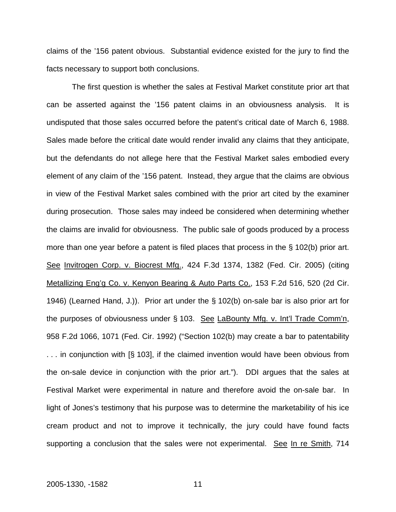claims of the '156 patent obvious. Substantial evidence existed for the jury to find the facts necessary to support both conclusions.

The first question is whether the sales at Festival Market constitute prior art that can be asserted against the '156 patent claims in an obviousness analysis. It is undisputed that those sales occurred before the patent's critical date of March 6, 1988. Sales made before the critical date would render invalid any claims that they anticipate, but the defendants do not allege here that the Festival Market sales embodied every element of any claim of the '156 patent. Instead, they argue that the claims are obvious in view of the Festival Market sales combined with the prior art cited by the examiner during prosecution. Those sales may indeed be considered when determining whether the claims are invalid for obviousness. The public sale of goods produced by a process more than one year before a patent is filed places that process in the § 102(b) prior art. See Invitrogen Corp. v. Biocrest Mfg., 424 F.3d 1374, 1382 (Fed. Cir. 2005) (citing Metallizing Eng'g Co. v. Kenyon Bearing & Auto Parts Co., 153 F.2d 516, 520 (2d Cir. 1946) (Learned Hand, J.)). Prior art under the § 102(b) on-sale bar is also prior art for the purposes of obviousness under § 103. See LaBounty Mfg. v. Int'l Trade Comm'n, 958 F.2d 1066, 1071 (Fed. Cir. 1992) ("Section 102(b) may create a bar to patentability . . . in conjunction with [§ 103], if the claimed invention would have been obvious from the on-sale device in conjunction with the prior art."). DDI argues that the sales at Festival Market were experimental in nature and therefore avoid the on-sale bar. In light of Jones's testimony that his purpose was to determine the marketability of his ice cream product and not to improve it technically, the jury could have found facts supporting a conclusion that the sales were not experimental. See In re Smith, 714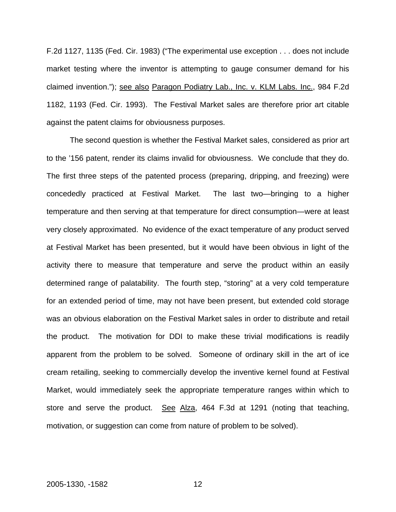F.2d 1127, 1135 (Fed. Cir. 1983) ("The experimental use exception . . . does not include market testing where the inventor is attempting to gauge consumer demand for his claimed invention."); see also Paragon Podiatry Lab., Inc. v. KLM Labs. Inc., 984 F.2d 1182, 1193 (Fed. Cir. 1993). The Festival Market sales are therefore prior art citable against the patent claims for obviousness purposes.

The second question is whether the Festival Market sales, considered as prior art to the '156 patent, render its claims invalid for obviousness. We conclude that they do. The first three steps of the patented process (preparing, dripping, and freezing) were concededly practiced at Festival Market. The last two—bringing to a higher temperature and then serving at that temperature for direct consumption—were at least very closely approximated. No evidence of the exact temperature of any product served at Festival Market has been presented, but it would have been obvious in light of the activity there to measure that temperature and serve the product within an easily determined range of palatability. The fourth step, "storing" at a very cold temperature for an extended period of time, may not have been present, but extended cold storage was an obvious elaboration on the Festival Market sales in order to distribute and retail the product. The motivation for DDI to make these trivial modifications is readily apparent from the problem to be solved. Someone of ordinary skill in the art of ice cream retailing, seeking to commercially develop the inventive kernel found at Festival Market, would immediately seek the appropriate temperature ranges within which to store and serve the product. See Alza, 464 F.3d at 1291 (noting that teaching, motivation, or suggestion can come from nature of problem to be solved).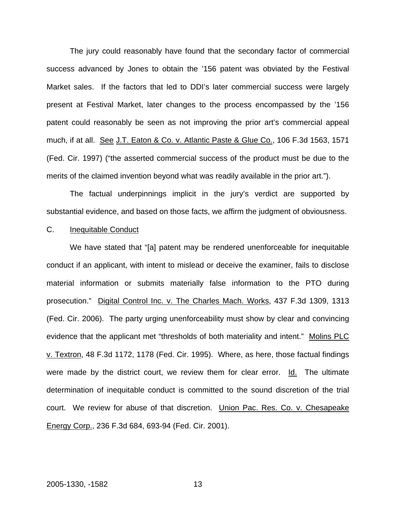The jury could reasonably have found that the secondary factor of commercial success advanced by Jones to obtain the '156 patent was obviated by the Festival Market sales. If the factors that led to DDI's later commercial success were largely present at Festival Market, later changes to the process encompassed by the '156 patent could reasonably be seen as not improving the prior art's commercial appeal much, if at all. See J.T. Eaton & Co. v. Atlantic Paste & Glue Co., 106 F.3d 1563, 1571 (Fed. Cir. 1997) ("the asserted commercial success of the product must be due to the merits of the claimed invention beyond what was readily available in the prior art.").

The factual underpinnings implicit in the jury's verdict are supported by substantial evidence, and based on those facts, we affirm the judgment of obviousness.

#### C. Inequitable Conduct

We have stated that "[a] patent may be rendered unenforceable for inequitable conduct if an applicant, with intent to mislead or deceive the examiner, fails to disclose material information or submits materially false information to the PTO during prosecution." Digital Control Inc. v. The Charles Mach. Works, 437 F.3d 1309, 1313 (Fed. Cir. 2006). The party urging unenforceability must show by clear and convincing evidence that the applicant met "thresholds of both materiality and intent." Molins PLC v. Textron, 48 F.3d 1172, 1178 (Fed. Cir. 1995). Where, as here, those factual findings were made by the district court, we review them for clear error. Id. The ultimate determination of inequitable conduct is committed to the sound discretion of the trial court. We review for abuse of that discretion. Union Pac. Res. Co. v. Chesapeake Energy Corp., 236 F.3d 684, 693-94 (Fed. Cir. 2001).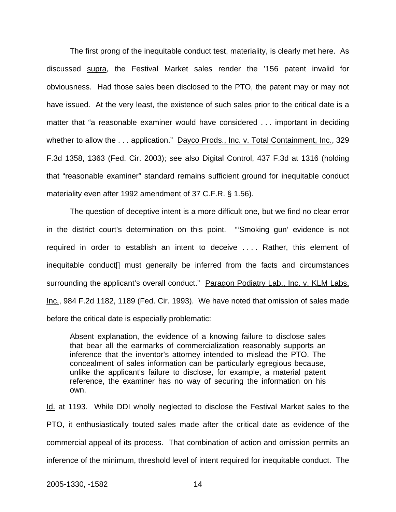The first prong of the inequitable conduct test, materiality, is clearly met here. As discussed supra, the Festival Market sales render the '156 patent invalid for obviousness. Had those sales been disclosed to the PTO, the patent may or may not have issued. At the very least, the existence of such sales prior to the critical date is a matter that "a reasonable examiner would have considered . . . important in deciding whether to allow the . . . application." Dayco Prods., Inc. v. Total Containment, Inc., 329 F.3d 1358, 1363 (Fed. Cir. 2003); see also Digital Control, 437 F.3d at 1316 (holding that "reasonable examiner" standard remains sufficient ground for inequitable conduct materiality even after 1992 amendment of 37 C.F.R. § 1.56).

The question of deceptive intent is a more difficult one, but we find no clear error in the district court's determination on this point. "'Smoking gun' evidence is not required in order to establish an intent to deceive . . . . Rather, this element of inequitable conduct[] must generally be inferred from the facts and circumstances surrounding the applicant's overall conduct." Paragon Podiatry Lab., Inc. v. KLM Labs. Inc., 984 F.2d 1182, 1189 (Fed. Cir. 1993). We have noted that omission of sales made before the critical date is especially problematic:

Absent explanation, the evidence of a knowing failure to disclose sales that bear all the earmarks of commercialization reasonably supports an inference that the inventor's attorney intended to mislead the PTO. The concealment of sales information can be particularly egregious because, unlike the applicant's failure to disclose, for example, a material patent reference, the examiner has no way of securing the information on his own.

Id. at 1193. While DDI wholly neglected to disclose the Festival Market sales to the PTO, it enthusiastically touted sales made after the critical date as evidence of the commercial appeal of its process. That combination of action and omission permits an inference of the minimum, threshold level of intent required for inequitable conduct. The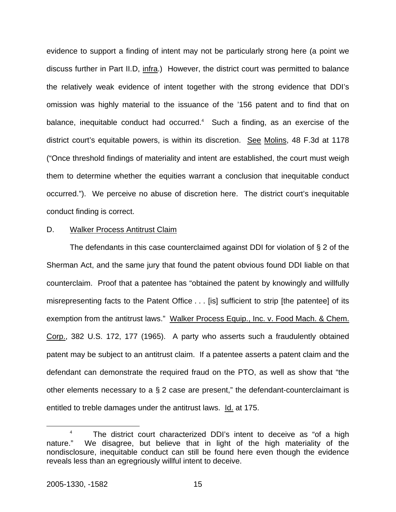evidence to support a finding of intent may not be particularly strong here (a point we discuss further in Part II.D, infra.) However, the district court was permitted to balance the relatively weak evidence of intent together with the strong evidence that DDI's omission was highly material to the issuance of the '156 patent and to find that on balance, inequitable conduct had occurred.<sup>4</sup> Such a finding, as an exercise of the district court's equitable powers, is within its discretion. See Molins, 48 F.3d at 1178 ("Once threshold findings of materiality and intent are established, the court must weigh them to determine whether the equities warrant a conclusion that inequitable conduct occurred."). We perceive no abuse of discretion here. The district court's inequitable conduct finding is correct.

#### D. Walker Process Antitrust Claim

The defendants in this case counterclaimed against DDI for violation of § 2 of the Sherman Act, and the same jury that found the patent obvious found DDI liable on that counterclaim. Proof that a patentee has "obtained the patent by knowingly and willfully misrepresenting facts to the Patent Office . . . [is] sufficient to strip [the patentee] of its exemption from the antitrust laws." Walker Process Equip., Inc. v. Food Mach. & Chem. Corp., 382 U.S. 172, 177 (1965). A party who asserts such a fraudulently obtained patent may be subject to an antitrust claim. If a patentee asserts a patent claim and the defendant can demonstrate the required fraud on the PTO, as well as show that "the other elements necessary to a  $\S 2$  case are present," the defendant-counterclaimant is entitled to treble damages under the antitrust laws. Id. at 175.

<span id="page-16-0"></span><sup>&</sup>lt;sup>4</sup> The district court characterized DDI's intent to deceive as "of a high nature." We disagree, but believe that in light of the high materiality of the nondisclosure, inequitable conduct can still be found here even though the evidence reveals less than an egregriously willful intent to deceive.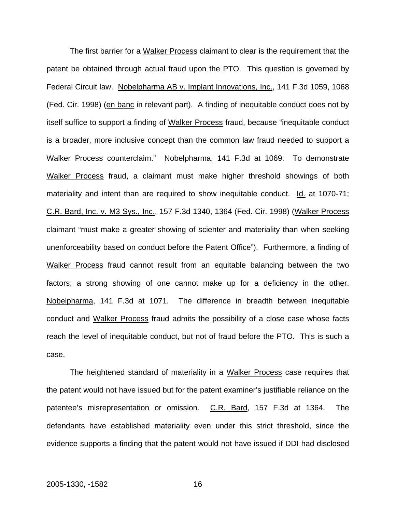The first barrier for a Walker Process claimant to clear is the requirement that the patent be obtained through actual fraud upon the PTO. This question is governed by Federal Circuit law. Nobelpharma AB v. Implant Innovations, Inc., 141 F.3d 1059, 1068 (Fed. Cir. 1998) (en banc in relevant part). A finding of inequitable conduct does not by itself suffice to support a finding of Walker Process fraud, because "inequitable conduct is a broader, more inclusive concept than the common law fraud needed to support a Walker Process counterclaim." Nobelpharma, 141 F.3d at 1069. To demonstrate Walker Process fraud, a claimant must make higher threshold showings of both materiality and intent than are required to show inequitable conduct. Id. at 1070-71; C.R. Bard, Inc. v. M3 Sys., Inc., 157 F.3d 1340, 1364 (Fed. Cir. 1998) (Walker Process claimant "must make a greater showing of scienter and materiality than when seeking unenforceability based on conduct before the Patent Office"). Furthermore, a finding of Walker Process fraud cannot result from an equitable balancing between the two factors; a strong showing of one cannot make up for a deficiency in the other. Nobelpharma, 141 F.3d at 1071. The difference in breadth between inequitable conduct and Walker Process fraud admits the possibility of a close case whose facts reach the level of inequitable conduct, but not of fraud before the PTO. This is such a case.

The heightened standard of materiality in a Walker Process case requires that the patent would not have issued but for the patent examiner's justifiable reliance on the patentee's misrepresentation or omission. C.R. Bard, 157 F.3d at 1364. The defendants have established materiality even under this strict threshold, since the evidence supports a finding that the patent would not have issued if DDI had disclosed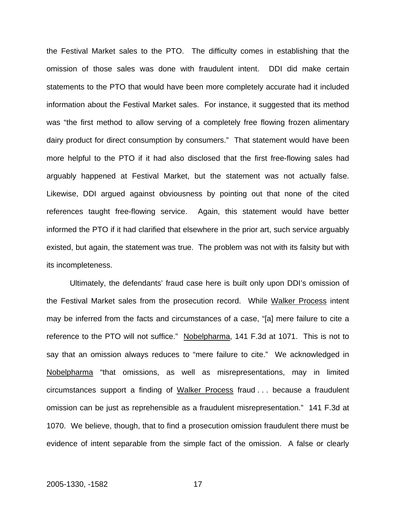the Festival Market sales to the PTO. The difficulty comes in establishing that the omission of those sales was done with fraudulent intent. DDI did make certain statements to the PTO that would have been more completely accurate had it included information about the Festival Market sales. For instance, it suggested that its method was "the first method to allow serving of a completely free flowing frozen alimentary dairy product for direct consumption by consumers." That statement would have been more helpful to the PTO if it had also disclosed that the first free-flowing sales had arguably happened at Festival Market, but the statement was not actually false. Likewise, DDI argued against obviousness by pointing out that none of the cited references taught free-flowing service. Again, this statement would have better informed the PTO if it had clarified that elsewhere in the prior art, such service arguably existed, but again, the statement was true. The problem was not with its falsity but with its incompleteness.

Ultimately, the defendants' fraud case here is built only upon DDI's omission of the Festival Market sales from the prosecution record. While Walker Process intent may be inferred from the facts and circumstances of a case, "[a] mere failure to cite a reference to the PTO will not suffice." Nobelpharma, 141 F.3d at 1071. This is not to say that an omission always reduces to "mere failure to cite." We acknowledged in Nobelpharma "that omissions, as well as misrepresentations, may in limited circumstances support a finding of Walker Process fraud . . . because a fraudulent omission can be just as reprehensible as a fraudulent misrepresentation." 141 F.3d at 1070. We believe, though, that to find a prosecution omission fraudulent there must be evidence of intent separable from the simple fact of the omission. A false or clearly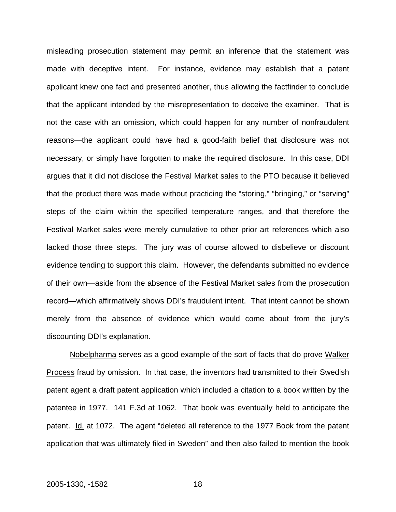misleading prosecution statement may permit an inference that the statement was made with deceptive intent. For instance, evidence may establish that a patent applicant knew one fact and presented another, thus allowing the factfinder to conclude that the applicant intended by the misrepresentation to deceive the examiner. That is not the case with an omission, which could happen for any number of nonfraudulent reasons—the applicant could have had a good-faith belief that disclosure was not necessary, or simply have forgotten to make the required disclosure. In this case, DDI argues that it did not disclose the Festival Market sales to the PTO because it believed that the product there was made without practicing the "storing," "bringing," or "serving" steps of the claim within the specified temperature ranges, and that therefore the Festival Market sales were merely cumulative to other prior art references which also lacked those three steps. The jury was of course allowed to disbelieve or discount evidence tending to support this claim. However, the defendants submitted no evidence of their own—aside from the absence of the Festival Market sales from the prosecution record—which affirmatively shows DDI's fraudulent intent. That intent cannot be shown merely from the absence of evidence which would come about from the jury's discounting DDI's explanation.

Nobelpharma serves as a good example of the sort of facts that do prove Walker Process fraud by omission. In that case, the inventors had transmitted to their Swedish patent agent a draft patent application which included a citation to a book written by the patentee in 1977. 141 F.3d at 1062. That book was eventually held to anticipate the patent. Id. at 1072. The agent "deleted all reference to the 1977 Book from the patent application that was ultimately filed in Sweden" and then also failed to mention the book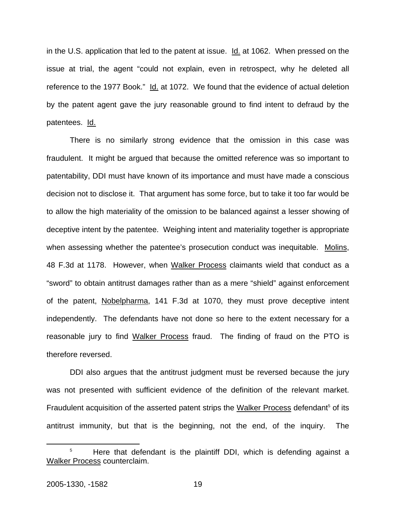in the U.S. application that led to the patent at issue. Id. at 1062. When pressed on the issue at trial, the agent "could not explain, even in retrospect, why he deleted all reference to the 1977 Book." Id. at 1072. We found that the evidence of actual deletion by the patent agent gave the jury reasonable ground to find intent to defraud by the patentees. Id.

There is no similarly strong evidence that the omission in this case was fraudulent. It might be argued that because the omitted reference was so important to patentability, DDI must have known of its importance and must have made a conscious decision not to disclose it. That argument has some force, but to take it too far would be to allow the high materiality of the omission to be balanced against a lesser showing of deceptive intent by the patentee. Weighing intent and materiality together is appropriate when assessing whether the patentee's prosecution conduct was inequitable. Molins, 48 F.3d at 1178. However, when Walker Process claimants wield that conduct as a "sword" to obtain antitrust damages rather than as a mere "shield" against enforcement of the patent, Nobelpharma, 141 F.3d at 1070, they must prove deceptive intent independently. The defendants have not done so here to the extent necessary for a reasonable jury to find Walker Process fraud. The finding of fraud on the PTO is therefore reversed.

DDI also argues that the antitrust judgment must be reversed because the jury was not presented with sufficient evidence of the definition of the relevant market. Fraudulent acquisition of the asserted patent strips the Walker Process defendant<sup>5</sup> of its antitrust immunity, but that is the beginning, not the end, of the inquiry. The

<span id="page-20-0"></span><sup>&</sup>lt;sup>5</sup> Here that defendant is the plaintiff DDI, which is defending against a Walker Process counterclaim.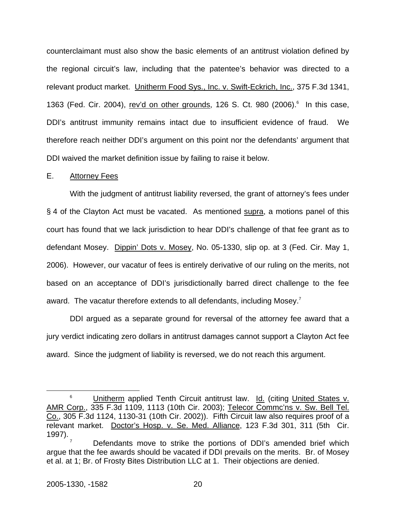counterclaimant must also show the basic elements of an antitrust violation defined by the regional circuit's law, including that the patentee's behavior was directed to a relevant product market. Unitherm Food Sys., Inc. v. Swift-Eckrich, Inc., 375 F.3d 1341, 13[6](#page-21-0)3 (Fed. Cir. 2004), rev'd on other grounds, 126 S. Ct. 980 (2006).<sup>6</sup> In this case, DDI's antitrust immunity remains intact due to insufficient evidence of fraud. We therefore reach neither DDI's argument on this point nor the defendants' argument that DDI waived the market definition issue by failing to raise it below.

## E. Attorney Fees

With the judgment of antitrust liability reversed, the grant of attorney's fees under § 4 of the Clayton Act must be vacated. As mentioned supra, a motions panel of this court has found that we lack jurisdiction to hear DDI's challenge of that fee grant as to defendant Mosey. Dippin' Dots v. Mosey, No. 05-1330, slip op. at 3 (Fed. Cir. May 1, 2006). However, our vacatur of fees is entirely derivative of our ruling on the merits, not based on an acceptance of DDI's jurisdictionally barred direct challenge to the fee award. The vacatur therefore extends to all defendants, including Mosey.<sup>7</sup>

DDI argued as a separate ground for reversal of the attorney fee award that a jury verdict indicating zero dollars in antitrust damages cannot support a Clayton Act fee award. Since the judgment of liability is reversed, we do not reach this argument.

<span id="page-21-0"></span> $\begin{array}{c|c}\n\hline\n\text{6}\n\end{array}$  Unitherm applied Tenth Circuit antitrust law. Id. (citing United States v. AMR Corp., 335 F.3d 1109, 1113 (10th Cir. 2003); Telecor Commc'ns v. Sw. Bell Tel. Co., 305 F.3d 1124, 1130-31 (10th Cir. 2002)). Fifth Circuit law also requires proof of a relevant market. Doctor's Hosp. v. Se. Med. Alliance, 123 F.3d 301, 311 (5th Cir. 1997).<br><sup>7</sup> Defendants move to strike the portions of DDI's amended brief which

<span id="page-21-1"></span>argue that the fee awards should be vacated if DDI prevails on the merits. Br. of Mosey et al. at 1; Br. of Frosty Bites Distribution LLC at 1. Their objections are denied.